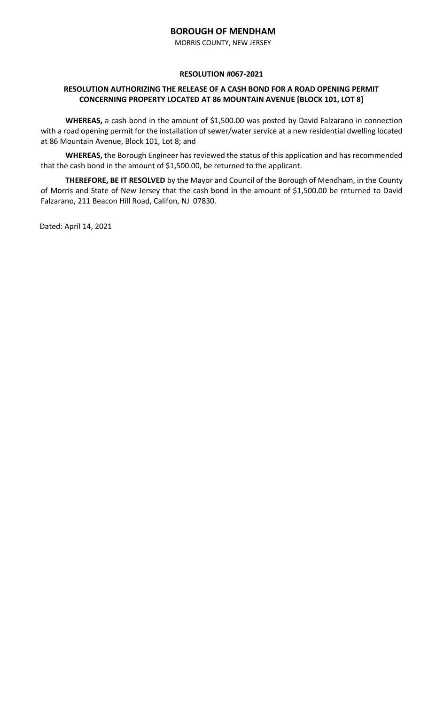MORRIS COUNTY, NEW JERSEY

### **RESOLUTION #067-2021**

## **RESOLUTION AUTHORIZING THE RELEASE OF A CASH BOND FOR A ROAD OPENING PERMIT CONCERNING PROPERTY LOCATED AT 86 MOUNTAIN AVENUE [BLOCK 101, LOT 8]**

WHEREAS, a cash bond in the amount of \$1,500.00 was posted by David Falzarano in connection with a road opening permit for the installation of sewer/water service at a new residential dwelling located at 86 Mountain Avenue, Block 101, Lot 8; and

**WHEREAS,** the Borough Engineer has reviewed the status of this application and has recommended that the cash bond in the amount of \$1,500.00, be returned to the applicant.

**THEREFORE, BE IT RESOLVED** by the Mayor and Council of the Borough of Mendham, in the County of Morris and State of New Jersey that the cash bond in the amount of \$1,500.00 be returned to David Falzarano, 211 Beacon Hill Road, Califon, NJ 07830.

Dated: April 14, 2021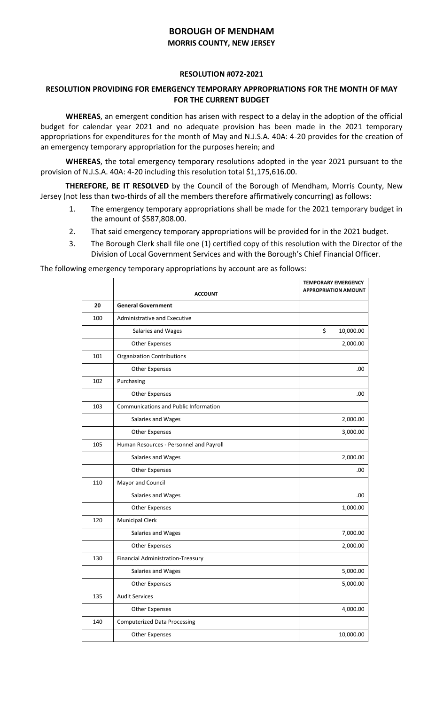# **BOROUGH OF MENDHAM MORRIS COUNTY, NEW JERSEY**

#### **RESOLUTION #072-2021**

## **RESOLUTION PROVIDING FOR EMERGENCY TEMPORARY APPROPRIATIONS FOR THE MONTH OF MAY FOR THE CURRENT BUDGET**

**WHEREAS**, an emergent condition has arisen with respect to a delay in the adoption of the official budget for calendar year 2021 and no adequate provision has been made in the 2021 temporary appropriations for expenditures for the month of May and N.J.S.A. 40A: 4-20 provides for the creation of an emergency temporary appropriation for the purposes herein; and

**WHEREAS**, the total emergency temporary resolutions adopted in the year 2021 pursuant to the provision of N.J.S.A. 40A: 4-20 including this resolution total \$1,175,616.00.

**THEREFORE, BE IT RESOLVED** by the Council of the Borough of Mendham, Morris County, New Jersey (not less than two-thirds of all the members therefore affirmatively concurring) as follows:

- 1. The emergency temporary appropriations shall be made for the 2021 temporary budget in the amount of \$587,808.00.
- 2. That said emergency temporary appropriations will be provided for in the 2021 budget.
- 3. The Borough Clerk shall file one (1) certified copy of this resolution with the Director of the Division of Local Government Services and with the Borough's Chief Financial Officer.

The following emergency temporary appropriations by account are as follows:

|     | <b>ACCOUNT</b>                               | <b>TEMPORARY EMERGENCY</b><br><b>APPROPRIATION AMOUNT</b> |
|-----|----------------------------------------------|-----------------------------------------------------------|
| 20  | <b>General Government</b>                    |                                                           |
| 100 | Administrative and Executive                 |                                                           |
|     | Salaries and Wages                           | \$<br>10,000.00                                           |
|     | <b>Other Expenses</b>                        | 2,000.00                                                  |
| 101 | <b>Organization Contributions</b>            |                                                           |
|     | <b>Other Expenses</b>                        | .00                                                       |
| 102 | Purchasing                                   |                                                           |
|     | <b>Other Expenses</b>                        | .00                                                       |
| 103 | <b>Communications and Public Information</b> |                                                           |
|     | Salaries and Wages                           | 2,000.00                                                  |
|     | <b>Other Expenses</b>                        | 3,000.00                                                  |
| 105 | Human Resources - Personnel and Payroll      |                                                           |
|     | Salaries and Wages                           | 2,000.00                                                  |
|     | <b>Other Expenses</b>                        | .00                                                       |
| 110 | Mayor and Council                            |                                                           |
|     | Salaries and Wages                           | .00                                                       |
|     | <b>Other Expenses</b>                        | 1,000.00                                                  |
| 120 | <b>Municipal Clerk</b>                       |                                                           |
|     | Salaries and Wages                           | 7,000.00                                                  |
|     | <b>Other Expenses</b>                        | 2,000.00                                                  |
| 130 | Financial Administration-Treasury            |                                                           |
|     | Salaries and Wages                           | 5,000.00                                                  |
|     | <b>Other Expenses</b>                        | 5,000.00                                                  |
| 135 | <b>Audit Services</b>                        |                                                           |
|     | <b>Other Expenses</b>                        | 4,000.00                                                  |
| 140 | <b>Computerized Data Processing</b>          |                                                           |
|     | <b>Other Expenses</b>                        | 10,000.00                                                 |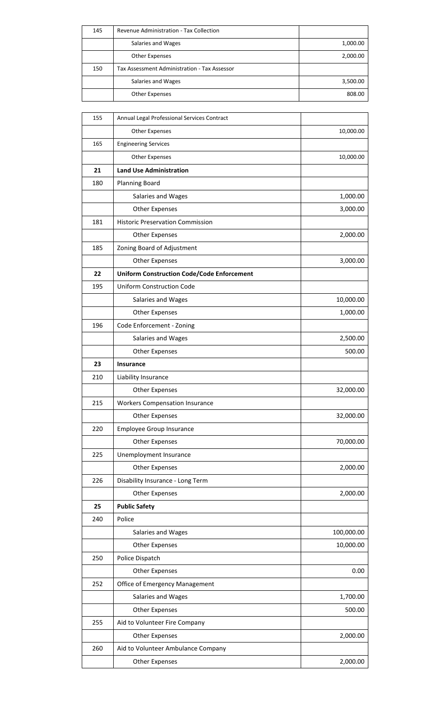| 145 | Revenue Administration - Tax Collection      |          |
|-----|----------------------------------------------|----------|
|     | Salaries and Wages                           | 1,000.00 |
|     | <b>Other Expenses</b>                        | 2,000.00 |
| 150 | Tax Assessment Administration - Tax Assessor |          |
|     | Salaries and Wages                           | 3,500.00 |
|     | Other Expenses                               | 808.00   |

| 155 | Annual Legal Professional Services Contract       |            |
|-----|---------------------------------------------------|------------|
|     | Other Expenses                                    | 10,000.00  |
| 165 | <b>Engineering Services</b>                       |            |
|     | <b>Other Expenses</b>                             | 10,000.00  |
| 21  | <b>Land Use Administration</b>                    |            |
| 180 | <b>Planning Board</b>                             |            |
|     | Salaries and Wages                                | 1,000.00   |
|     | <b>Other Expenses</b>                             | 3,000.00   |
| 181 | <b>Historic Preservation Commission</b>           |            |
|     | Other Expenses                                    | 2,000.00   |
| 185 | Zoning Board of Adjustment                        |            |
|     | <b>Other Expenses</b>                             | 3,000.00   |
| 22  | <b>Uniform Construction Code/Code Enforcement</b> |            |
| 195 | <b>Uniform Construction Code</b>                  |            |
|     | Salaries and Wages                                | 10,000.00  |
|     | <b>Other Expenses</b>                             | 1,000.00   |
| 196 | Code Enforcement - Zoning                         |            |
|     | Salaries and Wages                                | 2,500.00   |
|     | Other Expenses                                    | 500.00     |
| 23  | Insurance                                         |            |
| 210 | Liability Insurance                               |            |
|     | <b>Other Expenses</b>                             | 32,000.00  |
| 215 | <b>Workers Compensation Insurance</b>             |            |
|     | <b>Other Expenses</b>                             | 32,000.00  |
| 220 | <b>Employee Group Insurance</b>                   |            |
|     | <b>Other Expenses</b>                             | 70,000.00  |
| 225 | Unemployment Insurance                            |            |
|     | <b>Other Expenses</b>                             | 2,000.00   |
| 226 | Disability Insurance - Long Term                  |            |
|     | <b>Other Expenses</b>                             | 2,000.00   |
| 25  | <b>Public Safety</b>                              |            |
| 240 | Police                                            |            |
|     | Salaries and Wages                                | 100,000.00 |
|     | <b>Other Expenses</b>                             | 10,000.00  |
| 250 | Police Dispatch                                   |            |
|     | <b>Other Expenses</b>                             | 0.00       |
| 252 | Office of Emergency Management                    |            |
|     | Salaries and Wages                                | 1,700.00   |
|     | <b>Other Expenses</b>                             | 500.00     |
| 255 | Aid to Volunteer Fire Company                     |            |
|     | <b>Other Expenses</b>                             | 2,000.00   |
| 260 | Aid to Volunteer Ambulance Company                |            |
|     | <b>Other Expenses</b>                             | 2,000.00   |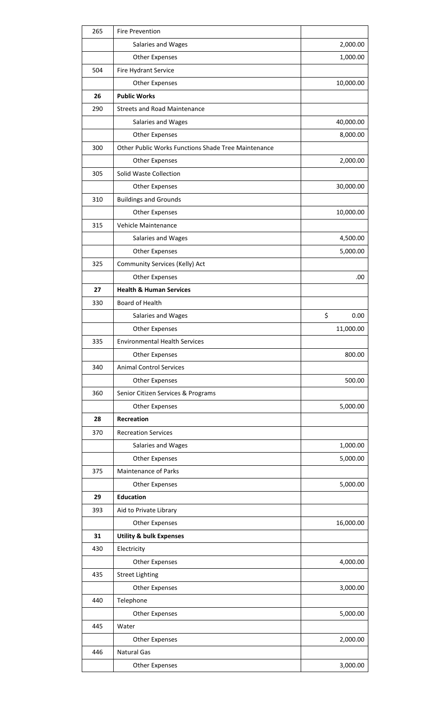| 265 | <b>Fire Prevention</b>                              |            |
|-----|-----------------------------------------------------|------------|
|     | Salaries and Wages                                  | 2,000.00   |
|     | <b>Other Expenses</b>                               | 1,000.00   |
| 504 | Fire Hydrant Service                                |            |
|     | <b>Other Expenses</b>                               | 10,000.00  |
| 26  | <b>Public Works</b>                                 |            |
| 290 | <b>Streets and Road Maintenance</b>                 |            |
|     | Salaries and Wages                                  | 40,000.00  |
|     | <b>Other Expenses</b>                               | 8,000.00   |
| 300 | Other Public Works Functions Shade Tree Maintenance |            |
|     | Other Expenses                                      | 2,000.00   |
| 305 | Solid Waste Collection                              |            |
|     | <b>Other Expenses</b>                               | 30,000.00  |
| 310 | <b>Buildings and Grounds</b>                        |            |
|     | <b>Other Expenses</b>                               | 10,000.00  |
| 315 | Vehicle Maintenance                                 |            |
|     | Salaries and Wages                                  | 4,500.00   |
|     | <b>Other Expenses</b>                               | 5,000.00   |
| 325 | Community Services (Kelly) Act                      |            |
|     | <b>Other Expenses</b>                               | .00        |
| 27  | <b>Health &amp; Human Services</b>                  |            |
| 330 | Board of Health                                     |            |
|     | Salaries and Wages                                  | \$<br>0.00 |
|     | <b>Other Expenses</b>                               | 11,000.00  |
| 335 | <b>Environmental Health Services</b>                |            |
|     |                                                     |            |
|     | Other Expenses                                      | 800.00     |
| 340 | <b>Animal Control Services</b>                      |            |
|     | Other Expenses                                      | 500.00     |
| 360 | Senior Citizen Services & Programs                  |            |
|     | <b>Other Expenses</b>                               | 5,000.00   |
| 28  | <b>Recreation</b>                                   |            |
| 370 | <b>Recreation Services</b>                          |            |
|     | Salaries and Wages                                  | 1,000.00   |
|     | <b>Other Expenses</b>                               | 5,000.00   |
| 375 | <b>Maintenance of Parks</b>                         |            |
|     | <b>Other Expenses</b>                               | 5,000.00   |
| 29  | <b>Education</b>                                    |            |
| 393 | Aid to Private Library                              |            |
|     | <b>Other Expenses</b>                               | 16,000.00  |
| 31  | <b>Utility &amp; bulk Expenses</b>                  |            |
| 430 | Electricity                                         |            |
|     | <b>Other Expenses</b>                               | 4,000.00   |
| 435 | <b>Street Lighting</b>                              |            |
|     | <b>Other Expenses</b>                               | 3,000.00   |
| 440 | Telephone                                           |            |
|     | <b>Other Expenses</b>                               | 5,000.00   |
| 445 | Water                                               |            |
|     | <b>Other Expenses</b>                               | 2,000.00   |
| 446 | <b>Natural Gas</b>                                  |            |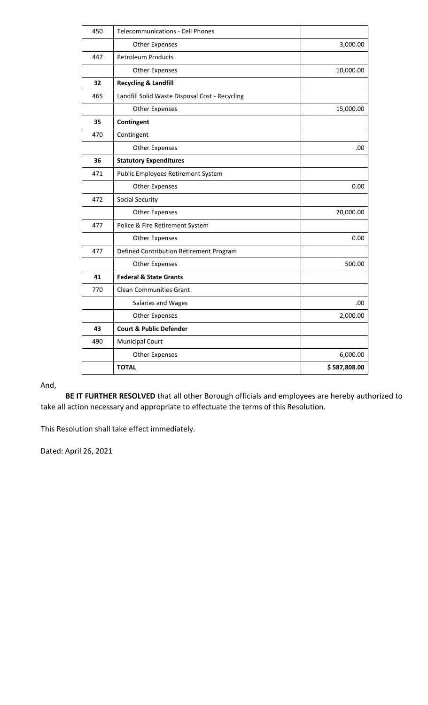| 450 | <b>Telecommunications - Cell Phones</b>        |              |
|-----|------------------------------------------------|--------------|
|     | <b>Other Expenses</b>                          | 3,000.00     |
| 447 | <b>Petroleum Products</b>                      |              |
|     | <b>Other Expenses</b>                          | 10,000.00    |
| 32  | <b>Recycling &amp; Landfill</b>                |              |
| 465 | Landfill Solid Waste Disposal Cost - Recycling |              |
|     | <b>Other Expenses</b>                          | 15,000.00    |
| 35  | Contingent                                     |              |
| 470 | Contingent                                     |              |
|     | <b>Other Expenses</b>                          | .00          |
| 36  | <b>Statutory Expenditures</b>                  |              |
| 471 | Public Employees Retirement System             |              |
|     | <b>Other Expenses</b>                          | 0.00         |
| 472 | <b>Social Security</b>                         |              |
|     | <b>Other Expenses</b>                          | 20,000.00    |
| 477 | Police & Fire Retirement System                |              |
|     | <b>Other Expenses</b>                          | 0.00         |
| 477 | Defined Contribution Retirement Program        |              |
|     | <b>Other Expenses</b>                          | 500.00       |
| 41  | <b>Federal &amp; State Grants</b>              |              |
| 770 | <b>Clean Communities Grant</b>                 |              |
|     | Salaries and Wages                             | .00          |
|     | <b>Other Expenses</b>                          | 2,000.00     |
| 43  | <b>Court &amp; Public Defender</b>             |              |
| 490 | <b>Municipal Court</b>                         |              |
|     | <b>Other Expenses</b>                          | 6,000.00     |
|     | <b>TOTAL</b>                                   | \$587,808.00 |

And,

**BE IT FURTHER RESOLVED** that all other Borough officials and employees are hereby authorized to take all action necessary and appropriate to effectuate the terms of this Resolution.

This Resolution shall take effect immediately.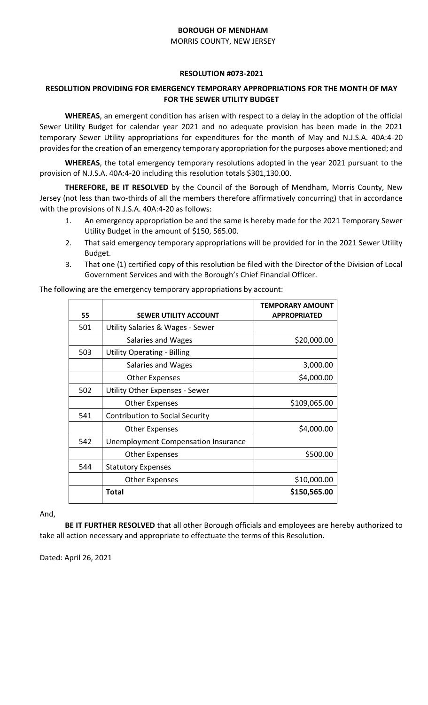MORRIS COUNTY, NEW JERSEY

### **RESOLUTION #073-2021**

## **RESOLUTION PROVIDING FOR EMERGENCY TEMPORARY APPROPRIATIONS FOR THE MONTH OF MAY FOR THE SEWER UTILITY BUDGET**

**WHEREAS**, an emergent condition has arisen with respect to a delay in the adoption of the official Sewer Utility Budget for calendar year 2021 and no adequate provision has been made in the 2021 temporary Sewer Utility appropriations for expenditures for the month of May and N.J.S.A. 40A:4-20 provides for the creation of an emergency temporary appropriation for the purposes above mentioned; and

**WHEREAS**, the total emergency temporary resolutions adopted in the year 2021 pursuant to the provision of N.J.S.A. 40A:4-20 including this resolution totals \$301,130.00.

**THEREFORE, BE IT RESOLVED** by the Council of the Borough of Mendham, Morris County, New Jersey (not less than two-thirds of all the members therefore affirmatively concurring) that in accordance with the provisions of N.J.S.A. 40A:4-20 as follows:

- 1. An emergency appropriation be and the same is hereby made for the 2021 Temporary Sewer Utility Budget in the amount of \$150, 565.00.
- 2. That said emergency temporary appropriations will be provided for in the 2021 Sewer Utility Budget.
- 3. That one (1) certified copy of this resolution be filed with the Director of the Division of Local Government Services and with the Borough's Chief Financial Officer.

| 55  | <b>SEWER UTILITY ACCOUNT</b>                | <b>TEMPORARY AMOUNT</b><br><b>APPROPRIATED</b> |
|-----|---------------------------------------------|------------------------------------------------|
| 501 | <b>Utility Salaries &amp; Wages - Sewer</b> |                                                |
|     | Salaries and Wages                          | \$20,000.00                                    |
| 503 | <b>Utility Operating - Billing</b>          |                                                |
|     | Salaries and Wages                          | 3,000.00                                       |
|     | <b>Other Expenses</b>                       | \$4,000.00                                     |
| 502 | <b>Utility Other Expenses - Sewer</b>       |                                                |
|     | <b>Other Expenses</b>                       | \$109,065.00                                   |
| 541 | <b>Contribution to Social Security</b>      |                                                |
|     | <b>Other Expenses</b>                       | \$4,000.00                                     |
| 542 | Unemployment Compensation Insurance         |                                                |
|     | <b>Other Expenses</b>                       | \$500.00                                       |
| 544 | <b>Statutory Expenses</b>                   |                                                |
|     | <b>Other Expenses</b>                       | \$10,000.00                                    |
|     | <b>Total</b>                                | \$150,565.00                                   |

The following are the emergency temporary appropriations by account:

And,

**BE IT FURTHER RESOLVED** that all other Borough officials and employees are hereby authorized to take all action necessary and appropriate to effectuate the terms of this Resolution.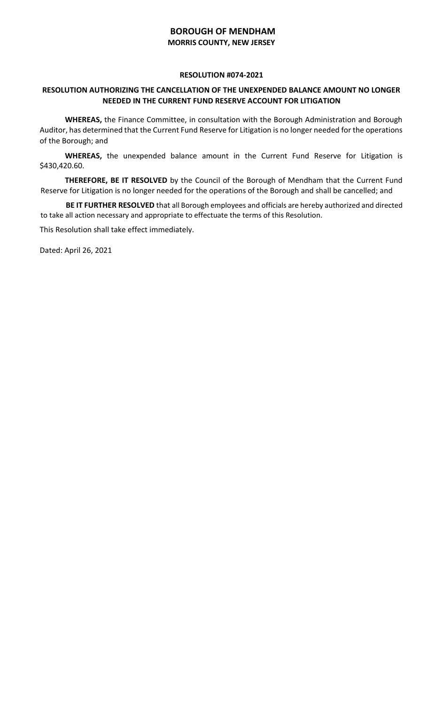## **BOROUGH OF MENDHAM MORRIS COUNTY, NEW JERSEY**

### **RESOLUTION #074-2021**

## **RESOLUTION AUTHORIZING THE CANCELLATION OF THE UNEXPENDED BALANCE AMOUNT NO LONGER NEEDED IN THE CURRENT FUND RESERVE ACCOUNT FOR LITIGATION**

**WHEREAS,** the Finance Committee, in consultation with the Borough Administration and Borough Auditor, has determined that the Current Fund Reserve for Litigation is no longer needed for the operations of the Borough; and

**WHEREAS,** the unexpended balance amount in the Current Fund Reserve for Litigation is \$430,420.60.

**THEREFORE, BE IT RESOLVED** by the Council of the Borough of Mendham that the Current Fund Reserve for Litigation is no longer needed for the operations of the Borough and shall be cancelled; and

**BE IT FURTHER RESOLVED** that all Borough employees and officials are hereby authorized and directed to take all action necessary and appropriate to effectuate the terms of this Resolution.

This Resolution shall take effect immediately.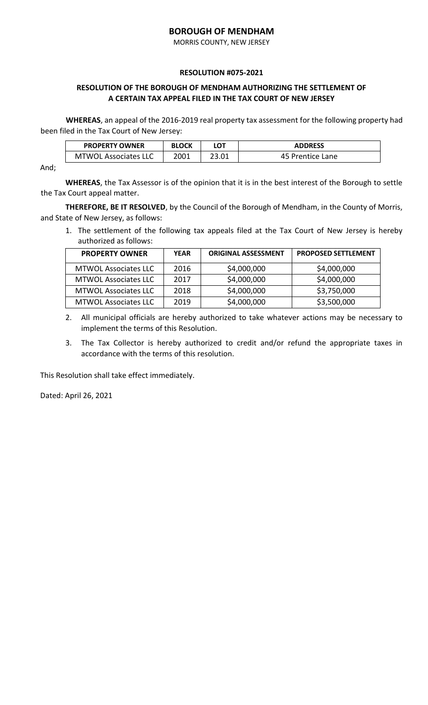MORRIS COUNTY, NEW JERSEY

### **RESOLUTION #075-2021**

## **RESOLUTION OF THE BOROUGH OF MENDHAM AUTHORIZING THE SETTLEMENT OF A CERTAIN TAX APPEAL FILED IN THE TAX COURT OF NEW JERSEY**

**WHEREAS**, an appeal of the 2016-2019 real property tax assessment for the following property had been filed in the Tax Court of New Jersey:

| <b>PROPERTY OWNER</b>       | <b>BLOCK</b> |       | <b>ADDRESS</b>   |
|-----------------------------|--------------|-------|------------------|
| <b>MTWOL Associates LLC</b> | 2001         | 23.01 | 45 Prentice Lane |

And;

**WHEREAS**, the Tax Assessor is of the opinion that it is in the best interest of the Borough to settle the Tax Court appeal matter.

**THEREFORE, BE IT RESOLVED**, by the Council of the Borough of Mendham, in the County of Morris, and State of New Jersey, as follows:

1. The settlement of the following tax appeals filed at the Tax Court of New Jersey is hereby authorized as follows:

| <b>PROPERTY OWNER</b>       | <b>YEAR</b> | <b>ORIGINAL ASSESSMENT</b> | <b>PROPOSED SETTLEMENT</b> |
|-----------------------------|-------------|----------------------------|----------------------------|
| <b>MTWOL Associates LLC</b> | 2016        | \$4,000,000                | \$4,000,000                |
| <b>MTWOL Associates LLC</b> | 2017        | \$4,000,000                | \$4,000,000                |
| <b>MTWOL Associates LLC</b> | 2018        | \$4,000,000                | \$3,750,000                |
| <b>MTWOL Associates LLC</b> | 2019        | \$4,000,000                | \$3,500,000                |

2. All municipal officials are hereby authorized to take whatever actions may be necessary to implement the terms of this Resolution.

3. The Tax Collector is hereby authorized to credit and/or refund the appropriate taxes in accordance with the terms of this resolution.

This Resolution shall take effect immediately.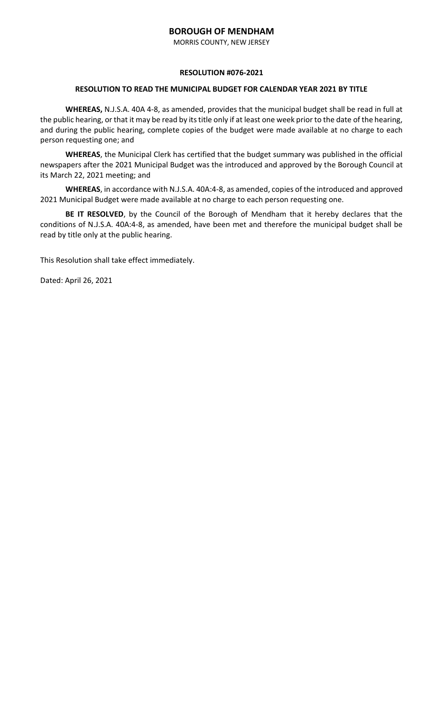MORRIS COUNTY, NEW JERSEY

### **RESOLUTION #076-2021**

### **RESOLUTION TO READ THE MUNICIPAL BUDGET FOR CALENDAR YEAR 2021 BY TITLE**

**WHEREAS,** N.J.S.A. 40A 4-8, as amended, provides that the municipal budget shall be read in full at the public hearing, or that it may be read by its title only if at least one week prior to the date of the hearing, and during the public hearing, complete copies of the budget were made available at no charge to each person requesting one; and

**WHEREAS**, the Municipal Clerk has certified that the budget summary was published in the official newspapers after the 2021 Municipal Budget was the introduced and approved by the Borough Council at its March 22, 2021 meeting; and

**WHEREAS**, in accordance with N.J.S.A. 40A:4-8, as amended, copies of the introduced and approved 2021 Municipal Budget were made available at no charge to each person requesting one.

**BE IT RESOLVED**, by the Council of the Borough of Mendham that it hereby declares that the conditions of N.J.S.A. 40A:4-8, as amended, have been met and therefore the municipal budget shall be read by title only at the public hearing.

This Resolution shall take effect immediately.